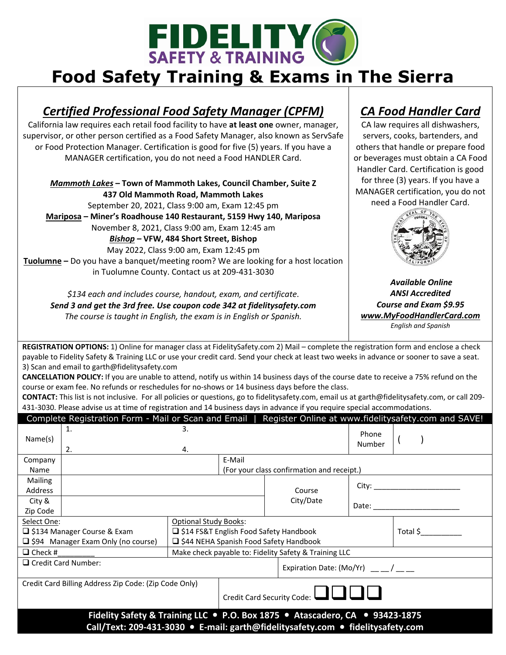

## **Food Safety Training & Exams in The Sierra**

## *Certified Professional Food Safety Manager (CPFM)*

California law requires each retail food facility to have **at least one** owner, manager, supervisor, or other person certified as a Food Safety Manager, also known as ServSafe or Food Protection Manager. Certification is good for five (5) years. If you have a MANAGER certification, you do not need a Food HANDLER Card.

*Mammoth Lakes* **– Town of Mammoth Lakes, Council Chamber, Suite Z 437 Old Mammoth Road, Mammoth Lakes** September 20, 2021, Class 9:00 am, Exam 12:45 pm **Mariposa – Miner's Roadhouse 140 Restaurant, 5159 Hwy 140, Mariposa** November 8, 2021, Class 9:00 am, Exam 12:45 am *Bishop –* **VFW, 484 Short Street, Bishop** May 2022, Class 9:00 am, Exam 12:45 pm **Tuolumne –** Do you have a banquet/meeting room? We are looking for a host location in Tuolumne County. Contact us at 209‐431‐3030

*\$134 each and includes course, handout, exam, and certificate*. *Send 3 and get the 3rd free. Use coupon code 342 at fidelitysafety.com The course is taught in English, the exam is in English or Spanish.* 

## *CA Food Handler Card*

CA law requires all dishwashers, servers, cooks, bartenders, and others that handle or prepare food or beverages must obtain a CA Food Handler Card. Certification is good for three (3) years. If you have a MANAGER certification, you do not need a Food Handler Card.



*Available Online ANSI Accredited Course and Exam \$9.95 www.MyFoodHandlerCard.com English and Spanish*

**REGISTRATION OPTIONS:** 1) Online for manager class at FidelitySafety.com 2) Mail – complete the registration form and enclose a check payable to Fidelity Safety & Training LLC or use your credit card. Send your check at least two weeks in advance or sooner to save a seat. 3) Scan and email to garth@fidelitysafety.com

**CANCELLATION POLICY:** If you are unable to attend, notify us within 14 business days of the course date to receive a 75% refund on the course or exam fee. No refunds or reschedules for no‐shows or 14 business days before the class.

**CONTACT:** This list is not inclusive. For all policies or questions, go to fidelitysafety.com, email us at garth@fidelitysafety.com, or call 209‐ 431‐3030. Please advise us at time of registration and 14 business days in advance if you require special accommodations.

| Register Online at www.fidelitysafety.com and SAVE!<br>Complete Registration Form - Mail or Scan and Email                                                      |                                                       |                                                       |                              |           |                                                                                                                                                                                                                                |          |
|-----------------------------------------------------------------------------------------------------------------------------------------------------------------|-------------------------------------------------------|-------------------------------------------------------|------------------------------|-----------|--------------------------------------------------------------------------------------------------------------------------------------------------------------------------------------------------------------------------------|----------|
| Name(s)                                                                                                                                                         | 1.<br>2.                                              | 3.<br>4.                                              |                              |           | Phone<br>Number                                                                                                                                                                                                                |          |
| Company                                                                                                                                                         |                                                       |                                                       | E-Mail                       |           |                                                                                                                                                                                                                                |          |
| Name                                                                                                                                                            |                                                       | (For your class confirmation and receipt.)            |                              |           |                                                                                                                                                                                                                                |          |
| <b>Mailing</b><br>Address                                                                                                                                       |                                                       |                                                       |                              | Course    | City: the control of the control of the control of the control of the control of the control of the control of the control of the control of the control of the control of the control of the control of the control of the co |          |
| City &<br>Zip Code                                                                                                                                              |                                                       |                                                       |                              | City/Date | Date:                                                                                                                                                                                                                          |          |
| Select One:                                                                                                                                                     |                                                       |                                                       | <b>Optional Study Books:</b> |           |                                                                                                                                                                                                                                |          |
| □ \$134 Manager Course & Exam                                                                                                                                   |                                                       | □ \$14 FS&T English Food Safety Handbook              |                              |           |                                                                                                                                                                                                                                | Total \$ |
| $\Box$ \$94 Manager Exam Only (no course)                                                                                                                       |                                                       | □ \$44 NEHA Spanish Food Safety Handbook              |                              |           |                                                                                                                                                                                                                                |          |
| $\Box$ Check #                                                                                                                                                  |                                                       | Make check payable to: Fidelity Safety & Training LLC |                              |           |                                                                                                                                                                                                                                |          |
|                                                                                                                                                                 | $\Box$ Credit Card Number:                            |                                                       | Expiration Date: (Mo/Yr) /   |           |                                                                                                                                                                                                                                |          |
|                                                                                                                                                                 | Credit Card Billing Address Zip Code: (Zip Code Only) | Credit Card Security Code: $\Box$                     |                              |           |                                                                                                                                                                                                                                |          |
| Fidelity Safety & Training LLC . P.O. Box 1875 . Atascadero, CA . 93423-1875<br>Call/Text: 209-431-3030 • E-mail: garth@fidelitysafety.com • fidelitysafety.com |                                                       |                                                       |                              |           |                                                                                                                                                                                                                                |          |